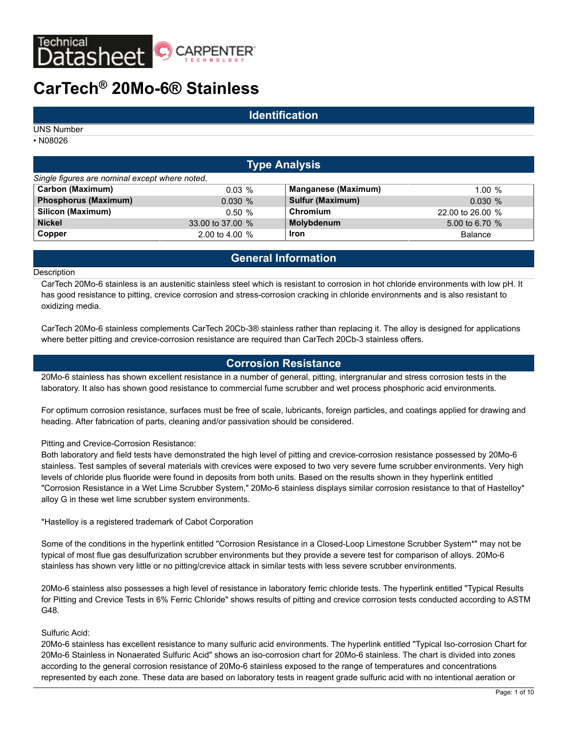

## **Identification**

UNS Number

• N08026

# **Type Analysis** *Single figures are nominal except where noted.* **Carbon (Maximum)** 0.03 % **Manganese (Maximum)** 1.00 % **Phosphorus (Maximum)** 0.030 % **Sulfur (Maximum)** 0.030 % **Silicon (Maximum)** 0.50 % **Chromium** 22.00 to 26.00 % **Nickel** 33.00 to 37.00 % **Molybdenum** 5.00 to 6.70 % **Copper** 2.00 to 4.00 % **Iron Copper** Balance

# **General Information**

#### **Description**

CarTech 20Mo-6 stainless is an austenitic stainless steel which is resistant to corrosion in hot chloride environments with low pH. It has good resistance to pitting, crevice corrosion and stress-corrosion cracking in chloride environments and is also resistant to oxidizing media.

CarTech 20Mo-6 stainless complements CarTech 20Cb-3® stainless rather than replacing it. The alloy is designed for applications where better pitting and crevice-corrosion resistance are required than CarTech 20Cb-3 stainless offers.

# **Corrosion Resistance**

20Mo-6 stainless has shown excellent resistance in a number of general, pitting, intergranular and stress corrosion tests in the laboratory. It also has shown good resistance to commercial fume scrubber and wet process phosphoric acid environments.

For optimum corrosion resistance, surfaces must be free of scale, lubricants, foreign particles, and coatings applied for drawing and heading. After fabrication of parts, cleaning and/or passivation should be considered.

#### Pitting and Crevice-Corrosion Resistance:

Both laboratory and field tests have demonstrated the high level of pitting and crevice-corrosion resistance possessed by 20Mo-6 stainless. Test samples of several materials with crevices were exposed to two very severe fume scrubber environments. Very high levels of chloride plus fluoride were found in deposits from both units. Based on the results shown in they hyperlink entitled "Corrosion Resistance in a Wet Lime Scrubber System," 20Mo-6 stainless displays similar corrosion resistance to that of Hastelloy\* alloy G in these wet lime scrubber system environments.

\*Hastelloy is a registered trademark of Cabot Corporation

Some of the conditions in the hyperlink entitled "Corrosion Resistance in a Closed-Loop Limestone Scrubber System\*" may not be typical of most flue gas desulfurization scrubber environments but they provide a severe test for comparison of alloys. 20Mo-6 stainless has shown very little or no pitting/crevice attack in similar tests with less severe scrubber environments.

20Mo-6 stainless also possesses a high level of resistance in laboratory ferric chloride tests. The hyperlink entitled "Typical Results for Pitting and Crevice Tests in 6% Ferric Chloride" shows results of pitting and crevice corrosion tests conducted according to ASTM G48.

#### Sulfuric Acid:

20Mo-6 stainless has excellent resistance to many sulfuric acid environments. The hyperlink entitled "Typical Iso-corrosion Chart for 20Mo-6 Stainless in Nonaerated Sulfuric Acid" shows an iso-corrosion chart for 20Mo-6 stainless. The chart is divided into zones according to the general corrosion resistance of 20Mo-6 stainless exposed to the range of temperatures and concentrations represented by each zone. These data are based on laboratory tests in reagent grade sulfuric acid with no intentional aeration or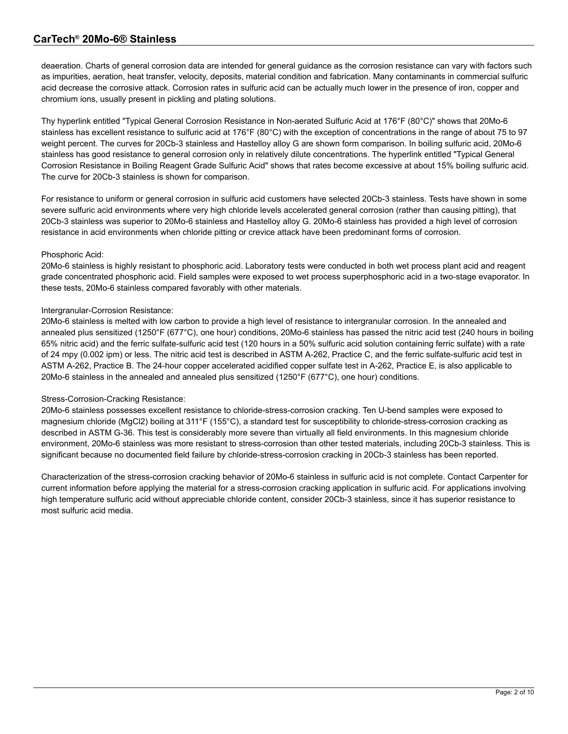deaeration. Charts of general corrosion data are intended for general guidance as the corrosion resistance can vary with factors such as impurities, aeration, heat transfer, velocity, deposits, material condition and fabrication. Many contaminants in commercial sulfuric acid decrease the corrosive attack. Corrosion rates in sulfuric acid can be actually much lower in the presence of iron, copper and chromium ions, usually present in pickling and plating solutions.

Thy hyperlink entitled "Typical General Corrosion Resistance in Non-aerated Sulfuric Acid at 176°F (80°C)" shows that 20Mo-6 stainless has excellent resistance to sulfuric acid at 176°F (80°C) with the exception of concentrations in the range of about 75 to 97 weight percent. The curves for 20Cb-3 stainless and Hastelloy alloy G are shown form comparison. In boiling sulfuric acid, 20Mo-6 stainless has good resistance to general corrosion only in relatively dilute concentrations. The hyperlink entitled "Typical General Corrosion Resistance in Boiling Reagent Grade Sulfuric Acid" shows that rates become excessive at about 15% boiling sulfuric acid. The curve for 20Cb-3 stainless is shown for comparison.

For resistance to uniform or general corrosion in sulfuric acid customers have selected 20Cb-3 stainless. Tests have shown in some severe sulfuric acid environments where very high chloride levels accelerated general corrosion (rather than causing pitting), that 20Cb-3 stainless was superior to 20Mo-6 stainless and Hastelloy alloy G. 20Mo-6 stainless has provided a high level of corrosion resistance in acid environments when chloride pitting or crevice attack have been predominant forms of corrosion.

### Phosphoric Acid:

20Mo-6 stainless is highly resistant to phosphoric acid. Laboratory tests were conducted in both wet process plant acid and reagent grade concentrated phosphoric acid. Field samples were exposed to wet process superphosphoric acid in a two-stage evaporator. In these tests, 20Mo-6 stainless compared favorably with other materials.

### Intergranular-Corrosion Resistance:

20Mo-6 stainless is melted with low carbon to provide a high level of resistance to intergranular corrosion. In the annealed and annealed plus sensitized (1250°F (677°C), one hour) conditions, 20Mo-6 stainless has passed the nitric acid test (240 hours in boiling 65% nitric acid) and the ferric sulfate-sulfuric acid test (120 hours in a 50% sulfuric acid solution containing ferric sulfate) with a rate of 24 mpy (0.002 ipm) or less. The nitric acid test is described in ASTM A-262, Practice C, and the ferric sulfate-sulfuric acid test in ASTM A-262, Practice B. The 24-hour copper accelerated acidified copper sulfate test in A-262, Practice E, is also applicable to 20Mo-6 stainless in the annealed and annealed plus sensitized (1250°F (677°C), one hour) conditions.

### Stress-Corrosion-Cracking Resistance:

20Mo-6 stainless possesses excellent resistance to chloride-stress-corrosion cracking. Ten U-bend samples were exposed to magnesium chloride (MgCl2) boiling at 311°F (155°C), a standard test for susceptibility to chloride-stress-corrosion cracking as described in ASTM G-36. This test is considerably more severe than virtually all field environments. In this magnesium chloride environment, 20Mo-6 stainless was more resistant to stress-corrosion than other tested materials, including 20Cb-3 stainless. This is significant because no documented field failure by chloride-stress-corrosion cracking in 20Cb-3 stainless has been reported.

Characterization of the stress-corrosion cracking behavior of 20Mo-6 stainless in sulfuric acid is not complete. Contact Carpenter for current information before applying the material for a stress-corrosion cracking application in sulfuric acid. For applications involving high temperature sulfuric acid without appreciable chloride content, consider 20Cb-3 stainless, since it has superior resistance to most sulfuric acid media.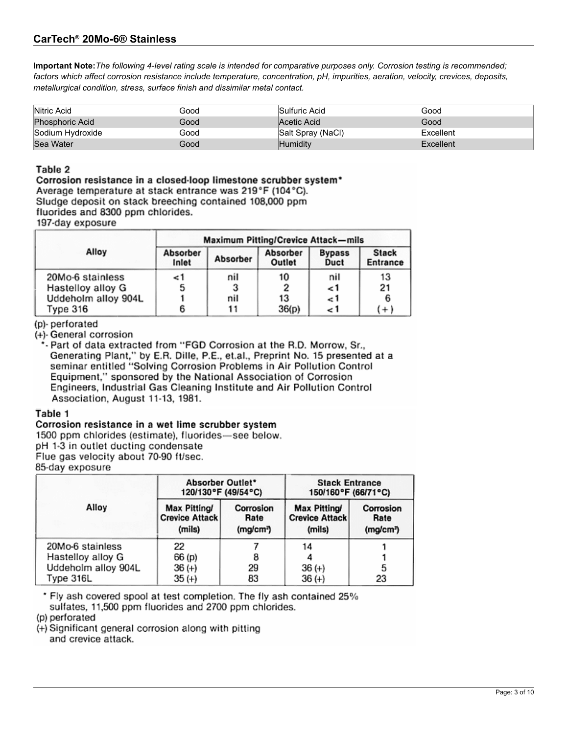# CarTech<sup>®</sup> 20Mo-6<sup>®</sup> Stainless

Important Note: The following 4-level rating scale is intended for comparative purposes only. Corrosion testing is recommended; factors which affect corrosion resistance include temperature, concentration, pH, impurities, aeration, velocity, crevices, deposits, metallurgical condition, stress, surface finish and dissimilar metal contact.

| Nitric Acid            | Good | Sulfuric Acid     | Good      |
|------------------------|------|-------------------|-----------|
| <b>Phosphoric Acid</b> | Good | Acetic Acid       | Good      |
| Sodium Hydroxide       | Good | Salt Spray (NaCl) | Excellent |
| Sea Water              | Good | Humiditv          | Excellent |

## Table 2

Corrosion resistance in a closed-loop limestone scrubber system\* Average temperature at stack entrance was 219°F (104°C). Sludge deposit on stack breeching contained 108,000 ppm fluorides and 8300 ppm chlorides. 197-day exposure

|                     | <b>Maximum Pitting/Crevice Attack-mils</b> |          |                    |                       |                          |
|---------------------|--------------------------------------------|----------|--------------------|-----------------------|--------------------------|
| Alloy               | Absorber<br>Inlet                          | Absorber | Absorber<br>Outlet | <b>Bypass</b><br>Duct | <b>Stack</b><br>Entrance |
| 20Mo-6 stainless    | 1>                                         | nil      | 10                 | nil                   | 13                       |
| Hastelloy alloy G   | 5                                          |          |                    | 1>                    | 21                       |
| Uddeholm alloy 904L |                                            | nil      | 13                 | 1 ج                   |                          |
| Туре 316            |                                            |          | 36(p)              | 1 ج                   | $(+)$                    |

### (p)-perforated

(+)- General corrosion

\*- Part of data extracted from "FGD Corrosion at the R.D. Morrow, Sr., Generating Plant," by E.R. Dille, P.E., et.al., Preprint No. 15 presented at a seminar entitled "Solving Corrosion Problems in Air Pollution Control Equipment," sponsored by the National Association of Corrosion Engineers, Industrial Gas Cleaning Institute and Air Pollution Control Association, August 11-13, 1981.

### Table 1

### Corrosion resistance in a wet lime scrubber system

1500 ppm chlorides (estimate), fluorides-see below.

pH 1-3 in outlet ducting condensate

Flue gas velocity about 70-90 ft/sec.

85-day exposure

|                     | Absorber Outlet*<br>120/130°F (49/54°C)         |                                            | <b>Stack Entrance</b><br>150/160°F (66/71°C)           |                                            |
|---------------------|-------------------------------------------------|--------------------------------------------|--------------------------------------------------------|--------------------------------------------|
| Alloy               | Max Pitting/<br><b>Crevice Attack</b><br>(mils) | Corrosion<br>Rate<br>(mglcm <sup>n</sup> ) | <b>Max Pitting/</b><br><b>Crevice Attack</b><br>(mils) | Corrosion<br>Rate<br>(mg/cm <sup>3</sup> ) |
| 20Mo-6 stainless    | 22                                              |                                            | 14                                                     |                                            |
| Hastelloy alloy G   | 66 (p)                                          |                                            |                                                        |                                            |
| Uddeholm alloy 904L | $36 (+)$                                        | 29                                         | $36 (+)$                                               | 5                                          |
| Type 316L           | $35(+)$                                         | 83                                         | $36 (+)$                                               | 23                                         |

\* Fly ash covered spool at test completion. The fly ash contained 25% sulfates, 11,500 ppm fluorides and 2700 ppm chlorides.

(p) perforated

(+) Significant general corrosion along with pitting and crevice attack.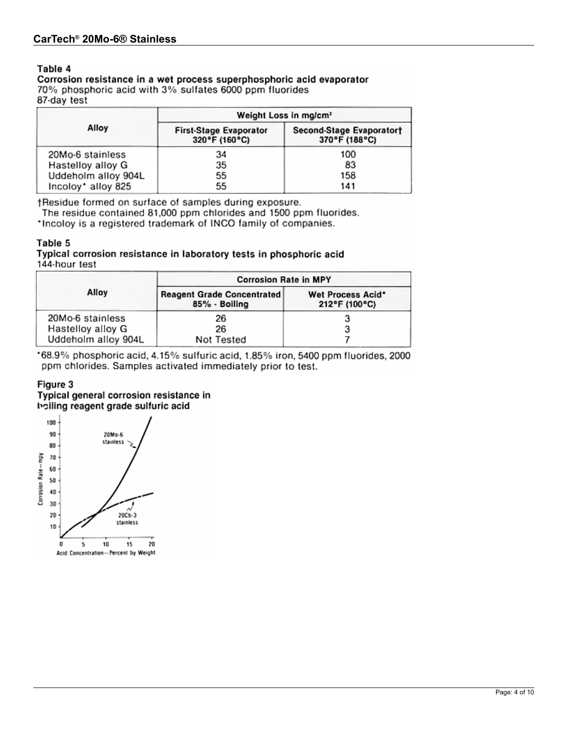### Table 4

Corrosion resistance in a wet process superphosphoric acid evaporator 70% phosphoric acid with 3% sulfates 6000 ppm fluorides 87-day test

|                     | Weight Loss in mg/cm <sup>2</sup>              |                                           |  |  |
|---------------------|------------------------------------------------|-------------------------------------------|--|--|
| Alloy               | <b>First-Stage Evaporator</b><br>320°F (160°C) | Second-Stage Evaporator†<br>370°F (188°C) |  |  |
| 20Mo-6 stainless    | 34                                             | 100                                       |  |  |
| Hastelloy alloy G   | 35                                             | 83                                        |  |  |
| Uddeholm alloy 904L | 55                                             | 158                                       |  |  |
| Incoloy* alloy 825  | 55                                             | 141                                       |  |  |

†Residue formed on surface of samples during exposure.

The residue contained 81,000 ppm chlorides and 1500 ppm fluorides.

\*Incoloy is a registered trademark of INCO family of companies.

### Table 5

Typical corrosion resistance in laboratory tests in phosphoric acid 144-hour test

|                                          | <b>Corrosion Rate in MPY</b>                       |                                    |  |
|------------------------------------------|----------------------------------------------------|------------------------------------|--|
| Alloy                                    | <b>Reagent Grade Concentrated</b><br>85% - Boiling | Wet Process Acid*<br>212°F (100°C) |  |
| 20Mo-6 stainless                         | 26                                                 |                                    |  |
| Hastelloy alloy G<br>Uddeholm alloy 904L | 26<br>Not Tested                                   |                                    |  |

\*68.9% phosphoric acid, 4.15% sulfuric acid, 1.85% iron, 5400 ppm fluorides, 2000 ppm chlorides. Samples activated immediately prior to test.

### Figure 3

Typical general corrosion resistance in boiling reagent grade sulfuric acid

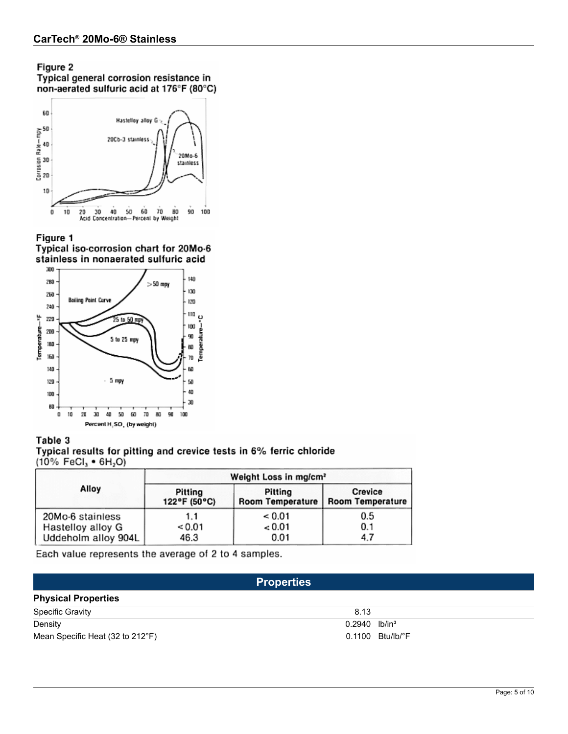# Figure 2

Typical general corrosion resistance in<br>non-aerated sulfuric acid at 176°F (80°C)



Figure 1 Typical iso-corrosion chart for 20Mo-6 stainless in nonaerated sulfuric acid



Table 3 Typical results for pitting and crevice tests in 6% ferric chloride  $(10\% \text{ FeCl}_3 \cdot 6H_2O)$ 

|                     | Weight Loss in mg/cm <sup>2</sup> |                         |                  |  |
|---------------------|-----------------------------------|-------------------------|------------------|--|
| Alloy               | Pitting                           | Pitting                 | Crevice          |  |
|                     | 122°F (50°C)                      | <b>Room Temperature</b> | Room Temperature |  |
| 20Mo-6 stainless    | 1.1                               | < 0.01                  | 0.5              |  |
| Hastelloy alloy G   | < 0.01                            | < 0.01                  | 0.1              |  |
| Uddeholm alloy 904L | 46.3                              | 0.01                    | 4.7              |  |

Each value represents the average of 2 to 4 samples.

|                                  | <b>Properties</b>           |                              |
|----------------------------------|-----------------------------|------------------------------|
| <b>Physical Properties</b>       |                             |                              |
| <b>Specific Gravity</b>          | 8.13                        |                              |
| Density                          | $0.2940$ lb/in <sup>3</sup> |                              |
| Mean Specific Heat (32 to 212°F) |                             | $0.1100$ Btu/lb/ $\degree$ F |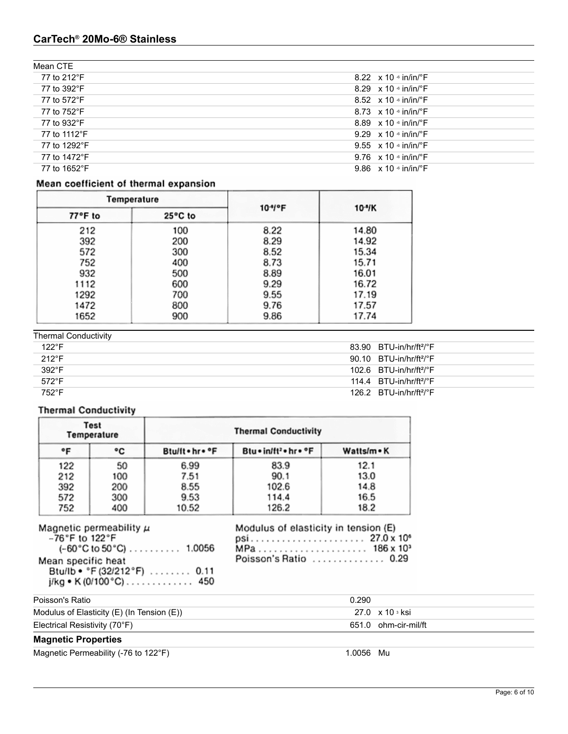| Mean CTE     |                                           |
|--------------|-------------------------------------------|
| 77 to 212°F  | 8.22 $\times$ 10 $\cdot$ in/in/ $\cdot$ F |
| 77 to 392°F  | 8.29 $\times$ 10 $\cdot$ in/in/ $\cdot$ F |
| 77 to 572°F  | 8.52 $\times$ 10 $\cdot$ in/in/ $\cdot$ F |
| 77 to 752°F  | 8.73 $\times$ 10 $\cdot$ in/in/ $\cdot$ F |
| 77 to 932°F  | 8.89 $\times$ 10 $\cdot$ in/in/ $\cdot$ F |
| 77 to 1112°F | 9.29 $\times$ 10 $\cdot$ in/in/ $\cdot$ F |
| 77 to 1292°F | 9.55 $\times$ 10 $\cdot$ in/in/ $\cdot$ F |
| 77 to 1472°F | 9.76 $\times$ 10 $\cdot$ in/in/ $\cdot$ F |
| 77 to 1652°F | 9.86 $\times$ 10 $\cdot$ in/in/ $\cdot$ F |
|              |                                           |

# Mean coefficient of thermal expansion

| Temperature |         |                       |          |  |
|-------------|---------|-----------------------|----------|--|
| 77°F to     | 25°C to | $10-4$ <sup>o</sup> F | $10-1$ K |  |
| 212         | 100     | 8.22                  | 14.80    |  |
| 392         | 200     | 8.29                  | 14.92    |  |
| 572         | 300     | 8.52                  | 15.34    |  |
| 752         | 400     | 8.73                  | 15.71    |  |
| 932         | 500     | 8.89                  | 16.01    |  |
| 1112        | 600     | 9.29                  | 16.72    |  |
| 1292        | 700     | 9.55                  | 17.19    |  |
| 1472        | 800     | 9.76                  | 17.57    |  |
| 1652        | 900     | 9.86                  | 17.74    |  |

| <b>Thermal Conductivity</b> |                                                 |
|-----------------------------|-------------------------------------------------|
| $122^{\circ}F$              | $83.90$ BTU-in/hr/ft <sup>2</sup> /°F           |
| $212^{\circ}F$              | $90.10$ BTU-in/hr/ft <sup>2</sup> /°F           |
| $392^{\circ}$ F             | $102.6$ BTU-in/hr/ft <sup>2</sup> /°F           |
| $572^{\circ}F$              | 114.4 $BTU-in/hr/ft^2/°F$                       |
| 752°F                       | $126.2$ BTU-in/hr/ft <sup>2</sup> / $\degree$ F |

# **Thermal Conductivity**

| Test<br>Temperature |     | <b>Thermal Conductivity</b> |                                    |             |
|---------------------|-----|-----------------------------|------------------------------------|-------------|
| ۰F                  | ۰c  | Btullt . hr . °F            | Btu . in/ft <sup>2</sup> . hr . °F | Watts/m · K |
| 122                 | 50  | 6.99                        | 83.9                               | 12.1        |
| 212                 | 100 | 7.51                        | 90.1                               | 13.0        |
| 392                 | 200 | 8.55                        | 102.6                              | 14.8        |
| 572                 | 300 | 9.53                        | 114.4                              | 16.5        |
| 752                 | 400 | 10.52                       | 126.2                              | 18.2        |

| $(-60^{\circ}$ C to 50 $^{\circ}$ C) $\ldots$ 1.0056 |
|------------------------------------------------------|
|                                                      |
|                                                      |
| i/kg • K (0/100 °C) 450                              |
| Btu/lb • °F (32/212°F)  0.11                         |

| Modulus of elasticity in tension (E) |
|--------------------------------------|
|                                      |
| MPa 186 x 10 <sup>3</sup>            |
| Poisson's Ratio  0.29                |

| Poisson's Ratio                                 | 0.290                |  |
|-------------------------------------------------|----------------------|--|
| Modulus of Elasticity $(E)$ (In Tension $(E)$ ) | 27.0 x 10 s ksi      |  |
| Electrical Resistivity (70°F)                   | 651.0 ohm-cir-mil/ft |  |
|                                                 |                      |  |

# **Magnetic Properties**

Magnetic Permeability (-76 to 122°F) 1.0056 Mu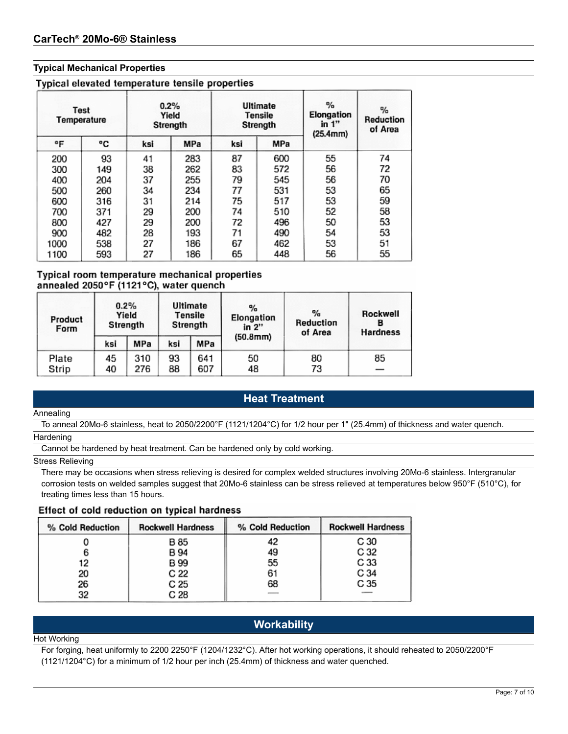### **Typical Mechanical Properties**

| Typical elevated temperature tensile properties |  |  |  |  |
|-------------------------------------------------|--|--|--|--|
|-------------------------------------------------|--|--|--|--|

| <b>Test</b><br>Temperature |     | 0.2% | Yield<br>Strength |     | <b>Ultimate</b><br>Tensile<br>Strength | %<br>Elongation<br>in $1"$<br>(25.4mm) | %<br>Reduction<br>of Area |  |
|----------------------------|-----|------|-------------------|-----|----------------------------------------|----------------------------------------|---------------------------|--|
| ۰F                         | ۰c  | ksi  | MPa               | ksi | MPa                                    |                                        |                           |  |
| 200                        | 93  | 41   | 283               | 87  | 600                                    | 55                                     | 74                        |  |
| 300                        | 149 | 38   | 262               | 83  | 572                                    | 56                                     | 72                        |  |
| 400                        | 204 | 37   | 255               | 79  | 545                                    | 56                                     | 70                        |  |
| 500                        | 260 | 34   | 234               | 77  | 531                                    | 53                                     | 65                        |  |
| 600                        | 316 | 31   | 214               | 75  | 517                                    | 53                                     | 59                        |  |
| 700                        | 371 | 29   | 200               | 74  | 510                                    | 52                                     | 58                        |  |
| 800                        | 427 | 29   | 200               | 72  | 496                                    | 50                                     | 53                        |  |
| 900                        | 482 | 28   | 193               | 71  | 490                                    | 54                                     | 53                        |  |
| 1000                       | 538 | 27   | 186               | 67  | 462                                    | 53                                     | 51                        |  |
| 1100                       | 593 | 27   | 186               | 65  | 448                                    | 56                                     | 55                        |  |

### Typical room temperature mechanical properties annealed 2050°F (1121°C), water quench

| Product<br>Form | 0.2%<br>Yield<br>Strength |            | Ultimate<br>Tensile<br>Strength |            | $\%$<br>Elongation<br>in 2" | $\frac{a}{a}$<br>Reduction<br>of Area | Rockwell<br>Hardness           |  |
|-----------------|---------------------------|------------|---------------------------------|------------|-----------------------------|---------------------------------------|--------------------------------|--|
|                 | ksi                       | MPa        | ksi                             | MPa        | (50.8mm)                    |                                       |                                |  |
| Plate<br>Strip  | 45<br>40                  | 310<br>276 | 93<br>88                        | 641<br>607 | 50<br>48                    | 80<br>73                              | 85<br>$\overline{\phantom{a}}$ |  |

# **Heat Treatment**

#### Annealing

To anneal 20Mo-6 stainless, heat to 2050/2200°F (1121/1204°C) for 1/2 hour per 1" (25.4mm) of thickness and water quench.

### **Hardening**

Cannot be hardened by heat treatment. Can be hardened only by cold working.

#### Stress Relieving

There may be occasions when stress relieving is desired for complex welded structures involving 20Mo-6 stainless. Intergranular corrosion tests on welded samples suggest that 20Mo-6 stainless can be stress relieved at temperatures below 950°F (510°C), for treating times less than 15 hours.

### Effect of cold reduction on typical hardness

| % Cold Reduction | <b>Rockwell Hardness</b> | % Cold Reduction | <b>Rockwell Hardness</b> |
|------------------|--------------------------|------------------|--------------------------|
|                  | B 85                     | 42               | C 30                     |
|                  | B 94                     | 49               | C 32                     |
| 12               | B 99                     | 55               | C 33                     |
| 20               | C 22                     | 61               | C 34                     |
| 26               | C 25                     | 68               | C 35                     |
| 32               | C 28                     |                  |                          |

# **Workability**

#### Hot Working

For forging, heat uniformly to 2200 2250°F (1204/1232°C). After hot working operations, it should reheated to 2050/2200°F (1121/1204°C) for a minimum of 1/2 hour per inch (25.4mm) of thickness and water quenched.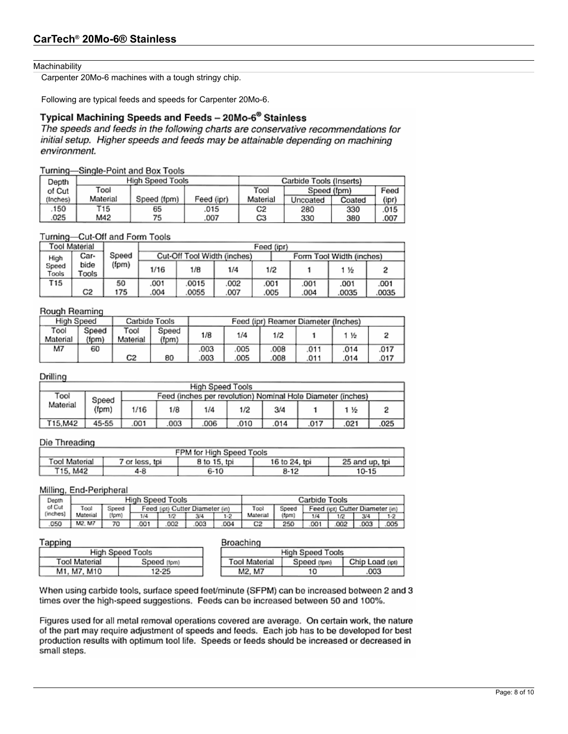#### **Machinability**

Carpenter 20Mo-6 machines with a tough stringy chip.

Following are typical feeds and speeds for Carpenter 20Mo-6.

# Typical Machining Speeds and Feeds - 20Mo-6<sup>®</sup> Stainless

The speeds and feeds in the following charts are conservative recommendations for initial setup. Higher speeds and feeds may be attainable depending on machining environment.

### Turning-Single-Point and Box Tools

| Depth    |          | High Speed Tools |                     | Carbide Tools (Inserts) |          |        |       |
|----------|----------|------------------|---------------------|-------------------------|----------|--------|-------|
| of Cut   | Tool     |                  | Tool<br>Speed (fom) |                         |          | Feed   |       |
| (Inches) | Material | Speed (fpm)      | Feed (ipr)          | Material                | Uncoated | Coated | (ipr) |
| 150      | T15      | 65               | .015                | C2                      | 280      | 330    | .015  |
| 025      | M42      | 75               | .007                | CЗ                      | 330      | 380    | .007  |

### Turning-Cut-Off and Form Tools

|                                          | Tool Material |       | Feed (ipr) |       |                             |      |      |                          |       |
|------------------------------------------|---------------|-------|------------|-------|-----------------------------|------|------|--------------------------|-------|
| High                                     | Car-          | Speed |            |       | Cut-Off Tool Width (inches) |      |      | Form Tool Width (inches) |       |
| (fpm)<br>bide<br>Speed<br>Tools<br>Tools |               | 1/16  | 1/8        | 1/4   | 1/2                         |      | 1 丛  |                          |       |
| T 15                                     |               | 50    | .001       | 0015  | 002                         | .001 | .001 | .001                     | .001  |
|                                          | C2            | 175   | 004        | .0055 | .007                        | .005 | .004 | .0035                    | .0035 |

### Rough Reaming

| High Speed       |                | Carbide Tools    |                |      |     |      | Feed (ipr) Reamer Diameter (Inches) |      |      |
|------------------|----------------|------------------|----------------|------|-----|------|-------------------------------------|------|------|
| Tool<br>Material | Speed<br>(fpm) | Tool<br>Material | Speed<br>(fpm) | 1/8  | 1/4 | 1/2  |                                     | 佐    |      |
| М7               | 60             |                  |                | .003 | 005 | 008  | .011                                | .014 | .017 |
|                  |                | C2               | 80             | .003 | 005 | .008 | .011                                | .014 | .017 |

### Drilling

|          | High Speed Tools |      |                                                             |     |     |      |      |     |      |  |  |
|----------|------------------|------|-------------------------------------------------------------|-----|-----|------|------|-----|------|--|--|
| Tool     | Speed            |      | Feed (inches per revolution) Nominal Hole Diameter (inches) |     |     |      |      |     |      |  |  |
| Material | (fpm)            | 1/16 | 1/8                                                         | 1/4 | 1/2 | 3/4  |      | 1 % |      |  |  |
| T15.M42  | 45-55            | 001  | 003                                                         | 006 | 010 | .014 | .017 | 021 | .025 |  |  |

### Die Threading

| FPM for High Speed Tools                                                           |     |      |      |       |  |  |  |  |  |
|------------------------------------------------------------------------------------|-----|------|------|-------|--|--|--|--|--|
| Tool Material<br>8 to 15, tpi<br>16 to 24, tpi<br>25 and up, tpi<br>7 or less, tpi |     |      |      |       |  |  |  |  |  |
| T15, M42                                                                           | 4-8 | 6-10 | 8-12 | 10-15 |  |  |  |  |  |

### Milling, End-Peripheral

| ستعاد<br>Depth |                                                            | High Speed Tools |     |     |     |         | Carbide Tools |                                 |     |     |     |       |
|----------------|------------------------------------------------------------|------------------|-----|-----|-----|---------|---------------|---------------------------------|-----|-----|-----|-------|
|                | of Cut<br>Tool<br>Feed fiet) Cutter Diameter (in)<br>Speed |                  |     |     |     | Tool    | Speed         | Feed (ipt) Cutter Diameter (in) |     |     |     |       |
| (inches)       | Material                                                   | (fpm)            | 1/4 | 1/2 | 3/4 | $1 - 2$ | Material      | (form)                          | 1/4 | 1/2 | 213 | $1-2$ |
| 050            | M2. M7                                                     | 70               | 001 | 002 | 003 | 004     | C2            | 250                             | OO. | 002 | 003 | 005   |

### Tapping

### **Broaching**

| a calculation and |                      |             | ----------           |             |                 |  |  |
|-------------------|----------------------|-------------|----------------------|-------------|-----------------|--|--|
|                   | High Speed Tools     |             | High Speed Tools     |             |                 |  |  |
|                   | <b>Tool Material</b> | Speed (fom) | <b>Tool Material</b> | Speed (fpm) | Chip Load (ipt) |  |  |
|                   | M1, M7, M10          | 12-25       | M2. M7               | 10          | 003             |  |  |

When using carbide tools, surface speed feet/minute (SFPM) can be increased between 2 and 3 times over the high-speed suggestions. Feeds can be increased between 50 and 100%.

Figures used for all metal removal operations covered are average. On certain work, the nature of the part may require adjustment of speeds and feeds. Each job has to be developed for best production results with optimum tool life. Speeds or feeds should be increased or decreased in small steps.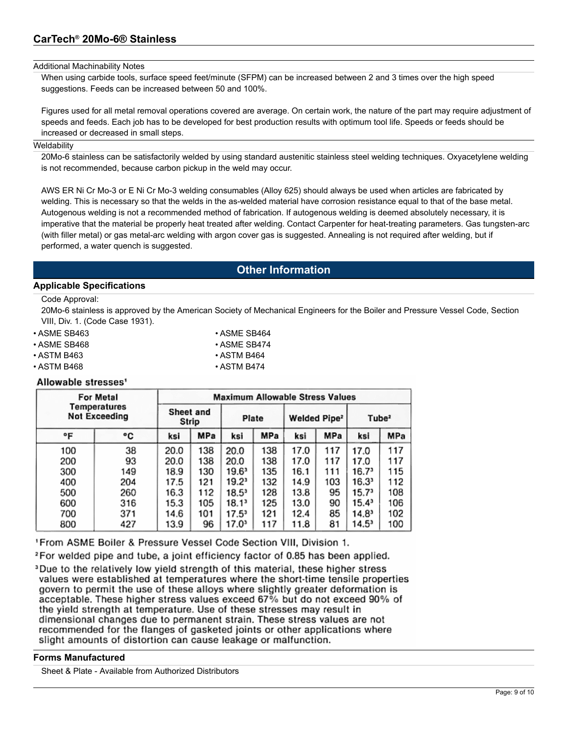#### Additional Machinability Notes

When using carbide tools, surface speed feet/minute (SFPM) can be increased between 2 and 3 times over the high speed suggestions. Feeds can be increased between 50 and 100%.

Figures used for all metal removal operations covered are average. On certain work, the nature of the part may require adjustment of speeds and feeds. Each job has to be developed for best production results with optimum tool life. Speeds or feeds should be increased or decreased in small steps.

#### **Weldability**

20Mo-6 stainless can be satisfactorily welded by using standard austenitic stainless steel welding techniques. Oxyacetylene welding is not recommended, because carbon pickup in the weld may occur.

AWS ER Ni Cr Mo-3 or E Ni Cr Mo-3 welding consumables (Alloy 625) should always be used when articles are fabricated by welding. This is necessary so that the welds in the as-welded material have corrosion resistance equal to that of the base metal. Autogenous welding is not a recommended method of fabrication. If autogenous welding is deemed absolutely necessary, it is imperative that the material be properly heat treated after welding. Contact Carpenter for heat-treating parameters. Gas tungsten-arc (with filler metal) or gas metal-arc welding with argon cover gas is suggested. Annealing is not required after welding, but if performed, a water quench is suggested.

# **Other Information**

### **Applicable Specifications**

Code Approval:

20Mo-6 stainless is approved by the American Society of Mechanical Engineers for the Boiler and Pressure Vessel Code, Section VIII, Div. 1. (Code Case 1931).

 $\cdot$  ASME SB464

| • ASME SB463           |  |
|------------------------|--|
| $\Delta$ A CMIT CD 400 |  |

- ASME SB468 ASME SB474
- ASTM B463 ASTM B464
- ASTM B468 ASTM B474

### Allowable stresses<sup>1</sup>

|                                      | For Metal | <b>Maximum Allowable Stress Values</b> |     |                |     |                          |            |                   |     |
|--------------------------------------|-----------|----------------------------------------|-----|----------------|-----|--------------------------|------------|-------------------|-----|
| Temperatures<br><b>Not Exceeding</b> |           | Sheet and<br>Strip                     |     | Plate          |     | Welded Pipe <sup>2</sup> |            | Tube <sup>2</sup> |     |
| °F                                   | ۰c        | ksi                                    | MPa | ksi            | MPa | ksi                      | <b>MPa</b> | ksi               | MPa |
| 100                                  | 38        | 20.0                                   | 138 | 20.0           | 138 | 17.0                     | 117        | 17.0              | 117 |
| 200                                  | 93        | 20.0                                   | 138 | 20.0           | 138 | 17.0                     | 117        | 17.0              | 117 |
| 300                                  | 149       | 18.9                                   | 130 | 19.61          | 135 | 16.1                     | 111        | 16.7              | 115 |
| 400                                  | 204       | 17.5                                   | 121 | $19.2^3$       | 132 | 14.9                     | 103        | 16.3"             | 112 |
| 500                                  | 260       | 16.3                                   | 112 | $18.5^{\circ}$ | 128 | 13.8                     | 95         | 15.7 <sup>3</sup> | 108 |
| 600                                  | 316       | 15.3                                   | 105 | 18.1ª          | 125 | 13.0                     | 90         | 15.4ª             | 106 |
| 700                                  | 371       | 14.6                                   | 101 | $17.5^3$       | 121 | 12.4                     | 85         | 14.8ª             | 102 |
| 800                                  | 427       | 13.9                                   | 96  | 17.0           | 117 | 11.8                     | 81         | 14.5ª             | 100 |

'From ASME Boiler & Pressure Vessel Code Section VIII, Division 1.

<sup>2</sup> For welded pipe and tube, a joint efficiency factor of 0.85 has been applied.

<sup>3</sup>Due to the relatively low yield strength of this material, these higher stress values were established at temperatures where the short-time tensile properties govern to permit the use of these alloys where slightly greater deformation is acceptable. These higher stress values exceed 67% but do not exceed 90% of the yield strength at temperature. Use of these stresses may result in dimensional changes due to permanent strain. These stress values are not recommended for the flanges of gasketed joints or other applications where slight amounts of distortion can cause leakage or malfunction.

### **Forms Manufactured**

Sheet & Plate - Available from Authorized Distributors